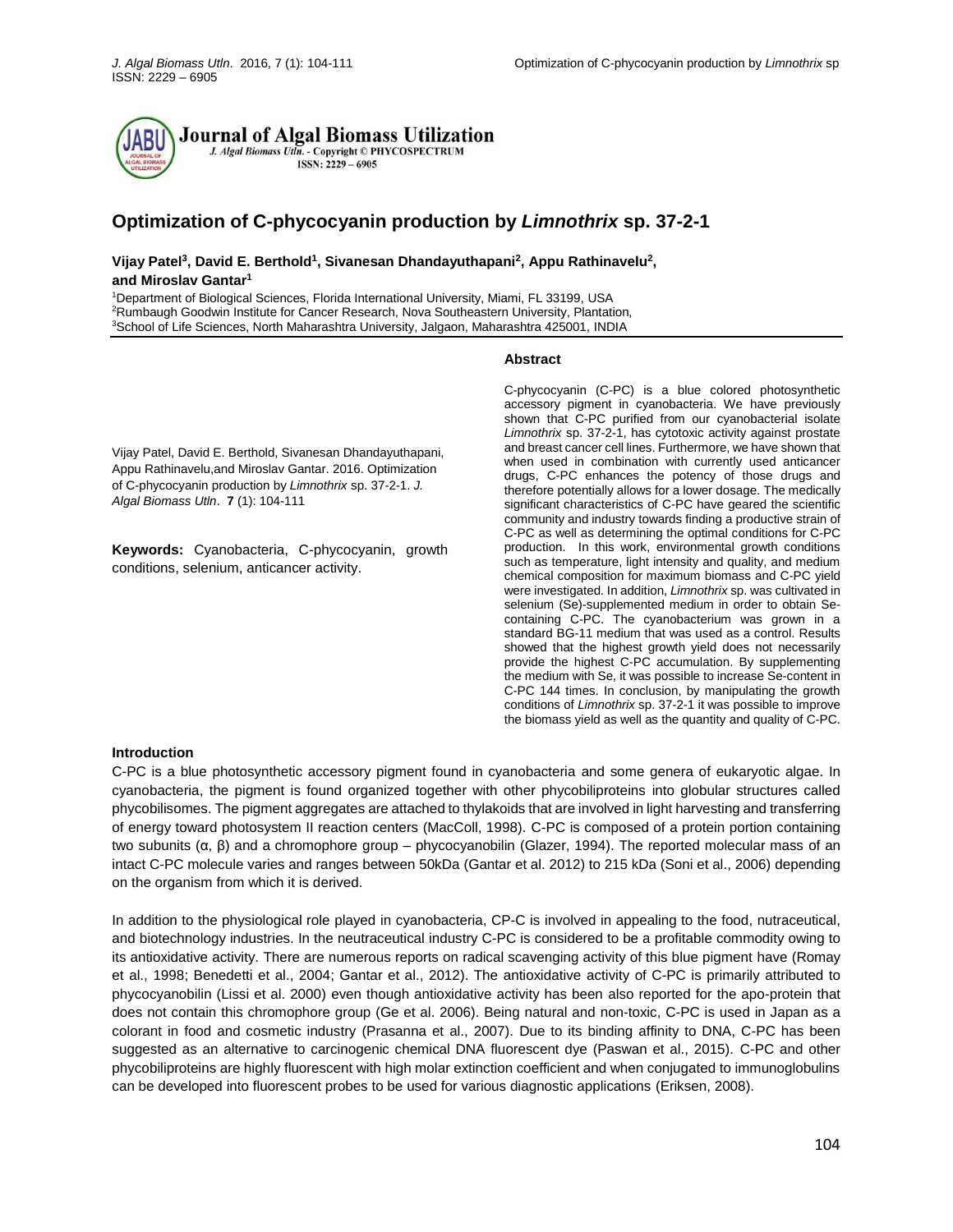

# **Optimization of C-phycocyanin production by** *Limnothrix* **sp. 37-2-1**

# **Vijay Patel<sup>3</sup> , David E. Berthold<sup>1</sup> , Sivanesan Dhandayuthapani<sup>2</sup> , Appu Rathinavelu<sup>2</sup> , and Miroslav Gantar<sup>1</sup>**

<sup>1</sup>Department of Biological Sciences, Florida International University, Miami, FL 33199, USA <sup>2</sup>Rumbaugh Goodwin Institute for Cancer Research, Nova Southeastern University, Plantation, <sup>3</sup>School of Life Sciences, North Maharashtra University, Jalgaon, Maharashtra 425001, INDIA

#### **Abstract**

Vijay Patel, David E. Berthold, Sivanesan Dhandayuthapani, Appu Rathinavelu,and Miroslav Gantar. 2016. Optimization of C-phycocyanin production by *Limnothrix* sp. 37-2-1. *J. Algal Biomass Utln*. **7** (1): 104-111

**Keywords:** Cyanobacteria, C-phycocyanin, growth conditions, selenium, anticancer activity.

C-phycocyanin (C-PC) is a blue colored photosynthetic accessory pigment in cyanobacteria. We have previously shown that C-PC purified from our cyanobacterial isolate *Limnothrix* sp. 37-2-1, has cytotoxic activity against prostate and breast cancer cell lines. Furthermore, we have shown that when used in combination with currently used anticancer drugs, C-PC enhances the potency of those drugs and therefore potentially allows for a lower dosage. The medically significant characteristics of C-PC have geared the scientific community and industry towards finding a productive strain of C-PC as well as determining the optimal conditions for C-PC production. In this work, environmental growth conditions such as temperature, light intensity and quality, and medium chemical composition for maximum biomass and C-PC yield were investigated. In addition, *Limnothrix* sp. was cultivated in selenium (Se)-supplemented medium in order to obtain Secontaining C-PC. The cyanobacterium was grown in a standard BG-11 medium that was used as a control. Results showed that the highest growth yield does not necessarily provide the highest C-PC accumulation. By supplementing the medium with Se, it was possible to increase Se-content in C-PC 144 times. In conclusion, by manipulating the growth conditions of *Limnothrix* sp. 37-2-1 it was possible to improve the biomass yield as well as the quantity and quality of C-PC.

#### **Introduction**

C-PC is a blue photosynthetic accessory pigment found in cyanobacteria and some genera of eukaryotic algae. In cyanobacteria, the pigment is found organized together with other phycobiliproteins into globular structures called phycobilisomes. The pigment aggregates are attached to thylakoids that are involved in light harvesting and transferring of energy toward photosystem II reaction centers (MacColl, 1998). C-PC is composed of a protein portion containing two subunits (α, β) and a chromophore group – phycocyanobilin (Glazer, 1994). The reported molecular mass of an intact C-PC molecule varies and ranges between 50kDa (Gantar et al. 2012) to 215 kDa (Soni et al., 2006) depending on the organism from which it is derived.

In addition to the physiological role played in cyanobacteria, CP-C is involved in appealing to the food, nutraceutical, and biotechnology industries. In the neutraceutical industry C-PC is considered to be a profitable commodity owing to its antioxidative activity. There are numerous reports on radical scavenging activity of this blue pigment have (Romay et al., 1998; Benedetti et al., 2004; Gantar et al., 2012). The antioxidative activity of C-PC is primarily attributed to phycocyanobilin (Lissi et al. 2000) even though antioxidative activity has been also reported for the apo-protein that does not contain this chromophore group (Ge et al. 2006). Being natural and non-toxic, C-PC is used in Japan as a colorant in food and cosmetic industry (Prasanna et al., 2007). Due to its binding affinity to DNA, C-PC has been suggested as an alternative to carcinogenic chemical DNA fluorescent dye (Paswan et al., 2015). C-PC and other phycobiliproteins are highly fluorescent with high molar extinction coefficient and when conjugated to immunoglobulins can be developed into fluorescent probes to be used for various diagnostic applications (Eriksen, 2008).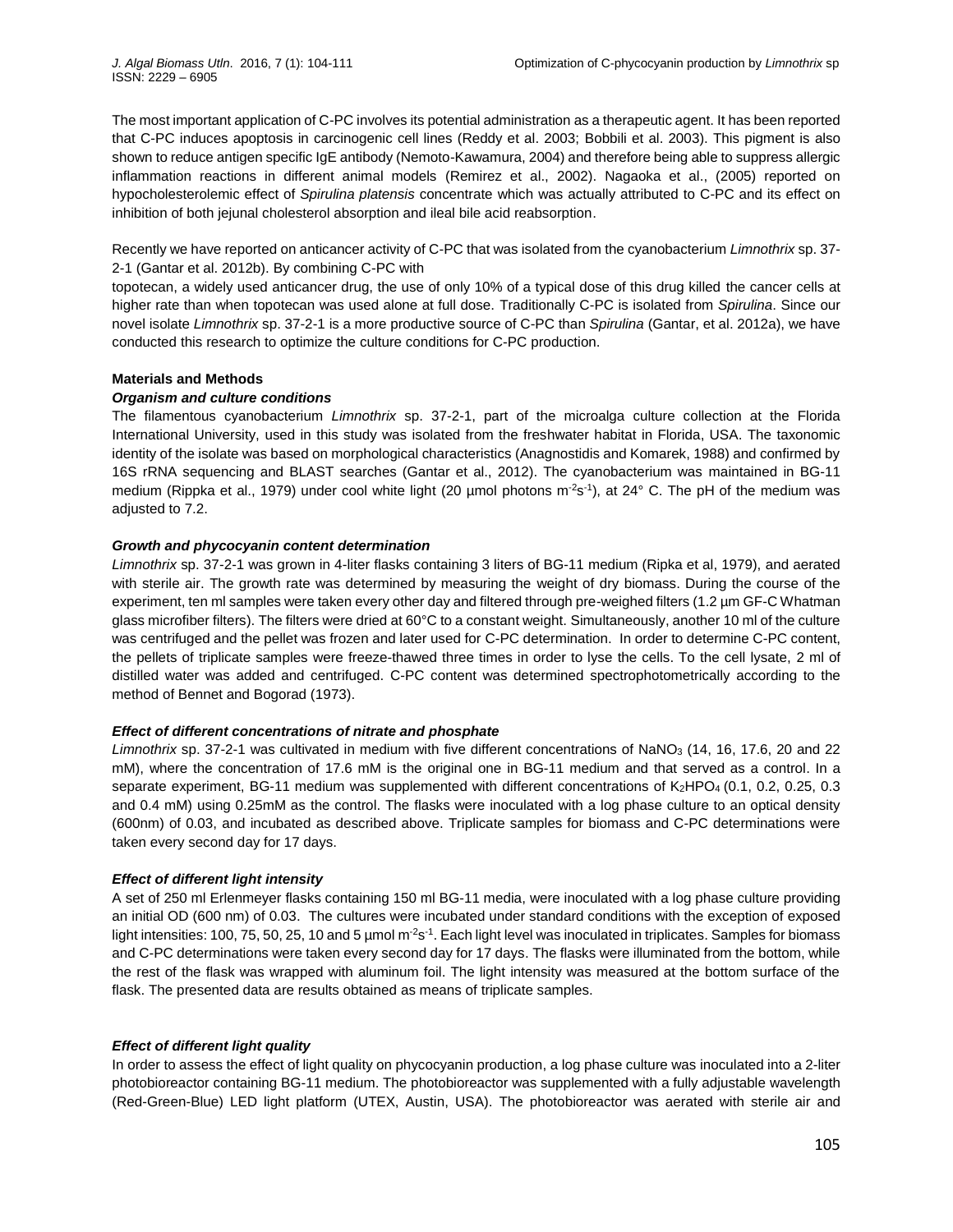The most important application of C-PC involves its potential administration as a therapeutic agent. It has been reported that C-PC induces apoptosis in carcinogenic cell lines (Reddy et al. 2003; Bobbili et al. 2003). This pigment is also shown to reduce antigen specific IgE antibody (Nemoto-Kawamura, 2004) and therefore being able to suppress allergic inflammation reactions in different animal models (Remirez et al., 2002). Nagaoka et al., (2005) reported on hypocholesterolemic effect of *Spirulina platensis* concentrate which was actually attributed to C-PC and its effect on inhibition of both jejunal cholesterol absorption and ileal bile acid reabsorption.

Recently we have reported on anticancer activity of C-PC that was isolated from the cyanobacterium *Limnothrix* sp. 37- 2-1 (Gantar et al. 2012b). By combining C-PC with

topotecan, a widely used anticancer drug, the use of only 10% of a typical dose of this drug killed the cancer cells at higher rate than when topotecan was used alone at full dose. Traditionally C-PC is isolated from *Spirulina*. Since our novel isolate *Limnothrix* sp. 37-2-1 is a more productive source of C-PC than *Spirulina* (Gantar, et al. 2012a), we have conducted this research to optimize the culture conditions for C-PC production.

# **Materials and Methods**

# *Organism and culture conditions*

The filamentous cyanobacterium *Limnothrix* sp. 37-2-1, part of the microalga culture collection at the Florida International University, used in this study was isolated from the freshwater habitat in Florida, USA. The taxonomic identity of the isolate was based on morphological characteristics (Anagnostidis and Komarek, 1988) and confirmed by 16S rRNA sequencing and BLAST searches (Gantar et al., 2012). The cyanobacterium was maintained in BG-11 medium (Rippka et al., 1979) under cool white light (20 µmol photons m<sup>-2</sup>s<sup>-1</sup>), at 24° C. The pH of the medium was adjusted to 7.2.

# *Growth and phycocyanin content determination*

*Limnothrix* sp. 37-2-1 was grown in 4-liter flasks containing 3 liters of BG-11 medium (Ripka et al, 1979), and aerated with sterile air. The growth rate was determined by measuring the weight of dry biomass. During the course of the experiment, ten ml samples were taken every other day and filtered through pre-weighed filters (1.2 µm GF-C Whatman glass microfiber filters). The filters were dried at 60°C to a constant weight. Simultaneously, another 10 ml of the culture was centrifuged and the pellet was frozen and later used for C-PC determination. In order to determine C-PC content, the pellets of triplicate samples were freeze-thawed three times in order to lyse the cells. To the cell lysate, 2 ml of distilled water was added and centrifuged. C-PC content was determined spectrophotometrically according to the method of Bennet and Bogorad (1973).

# *Effect of different concentrations of nitrate and phosphate*

*Limnothrix* sp. 37-2-1 was cultivated in medium with five different concentrations of NaNO<sup>3</sup> (14, 16, 17.6, 20 and 22 mM), where the concentration of 17.6 mM is the original one in BG-11 medium and that served as a control. In a separate experiment, BG-11 medium was supplemented with different concentrations of K<sub>2</sub>HPO<sub>4</sub> (0.1, 0.2, 0.25, 0.3 and 0.4 mM) using 0.25mM as the control. The flasks were inoculated with a log phase culture to an optical density (600nm) of 0.03, and incubated as described above. Triplicate samples for biomass and C-PC determinations were taken every second day for 17 days.

# *Effect of different light intensity*

A set of 250 ml Erlenmeyer flasks containing 150 ml BG-11 media, were inoculated with a log phase culture providing an initial OD (600 nm) of 0.03. The cultures were incubated under standard conditions with the exception of exposed light intensities: 100, 75, 50, 25, 10 and 5 µmol m<sup>-2</sup>s<sup>-1</sup>. Each light level was inoculated in triplicates. Samples for biomass and C-PC determinations were taken every second day for 17 days. The flasks were illuminated from the bottom, while the rest of the flask was wrapped with aluminum foil. The light intensity was measured at the bottom surface of the flask. The presented data are results obtained as means of triplicate samples.

# *Effect of different light quality*

In order to assess the effect of light quality on phycocyanin production, a log phase culture was inoculated into a 2-liter photobioreactor containing BG-11 medium. The photobioreactor was supplemented with a fully adjustable wavelength (Red-Green-Blue) LED light platform (UTEX, Austin, USA). The photobioreactor was aerated with sterile air and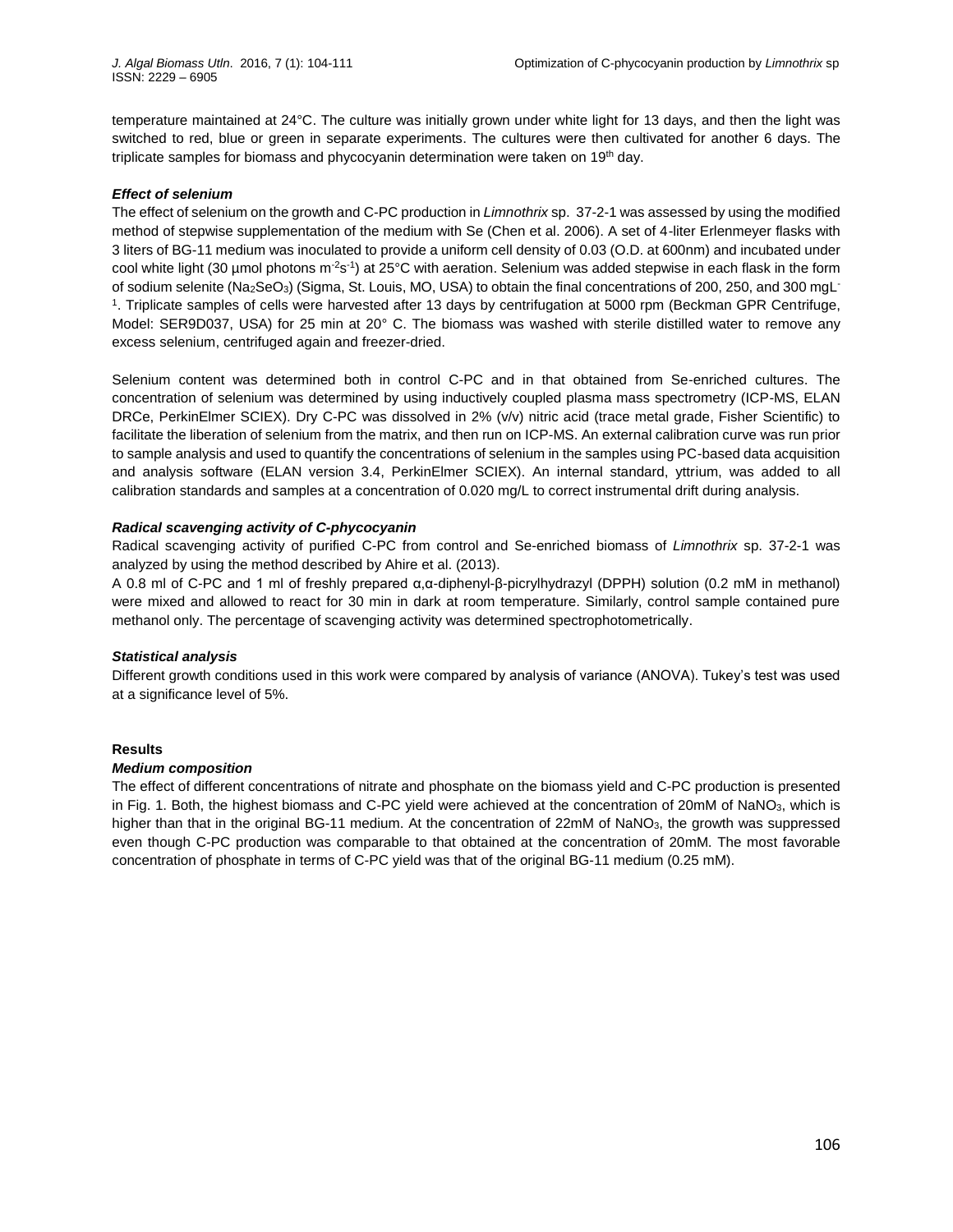temperature maintained at 24°C. The culture was initially grown under white light for 13 days, and then the light was switched to red, blue or green in separate experiments. The cultures were then cultivated for another 6 days. The triplicate samples for biomass and phycocyanin determination were taken on 19<sup>th</sup> day.

#### *Effect of selenium*

The effect of selenium on the growth and C-PC production in *Limnothrix* sp. 37-2-1 was assessed by using the modified method of stepwise supplementation of the medium with Se (Chen et al. 2006). A set of 4-liter Erlenmeyer flasks with 3 liters of BG-11 medium was inoculated to provide a uniform cell density of 0.03 (O.D. at 600nm) and incubated under cool white light (30 µmol photons m<sup>-2</sup>s<sup>-1</sup>) at 25°C with aeration. Selenium was added stepwise in each flask in the form of sodium selenite (Na2SeO<sub>3</sub>) (Sigma, St. Louis, MO, USA) to obtain the final concentrations of 200, 250, and 300 mgL<sup>-</sup> 1 . Triplicate samples of cells were harvested after 13 days by centrifugation at 5000 rpm (Beckman GPR Centrifuge, Model: SER9D037, USA) for 25 min at 20° C. The biomass was washed with sterile distilled water to remove any excess selenium, centrifuged again and freezer-dried.

Selenium content was determined both in control C-PC and in that obtained from Se-enriched cultures. The concentration of selenium was determined by using inductively coupled plasma mass spectrometry (ICP-MS, ELAN DRCe, PerkinElmer SCIEX). Dry C-PC was dissolved in 2% (v/v) nitric acid (trace metal grade, Fisher Scientific) to facilitate the liberation of selenium from the matrix, and then run on ICP-MS. An external calibration curve was run prior to sample analysis and used to quantify the concentrations of selenium in the samples using PC-based data acquisition and analysis software (ELAN version 3.4, PerkinElmer SCIEX). An internal standard, yttrium, was added to all calibration standards and samples at a concentration of 0.020 mg/L to correct instrumental drift during analysis.

# *Radical scavenging activity of C-phycocyanin*

Radical scavenging activity of purified C-PC from control and Se-enriched biomass of *Limnothrix* sp. 37-2-1 was analyzed by using the method described by Ahire et al. (2013).

A 0.8 ml of C-PC and 1 ml of freshly prepared α,α-diphenyl-β-picrylhydrazyl (DPPH) solution (0.2 mM in methanol) were mixed and allowed to react for 30 min in dark at room temperature. Similarly, control sample contained pure methanol only. The percentage of scavenging activity was determined spectrophotometrically.

#### *Statistical analysis*

Different growth conditions used in this work were compared by analysis of variance (ANOVA). Tukey's test was used at a significance level of 5%.

#### **Results**

#### *Medium composition*

The effect of different concentrations of nitrate and phosphate on the biomass yield and C-PC production is presented in Fig. 1. Both, the highest biomass and C-PC yield were achieved at the concentration of 20mM of NaNO<sub>3</sub>, which is higher than that in the original BG-11 medium. At the concentration of 22mM of NaNO<sub>3</sub>, the growth was suppressed even though C-PC production was comparable to that obtained at the concentration of 20mM. The most favorable concentration of phosphate in terms of C-PC yield was that of the original BG-11 medium (0.25 mM).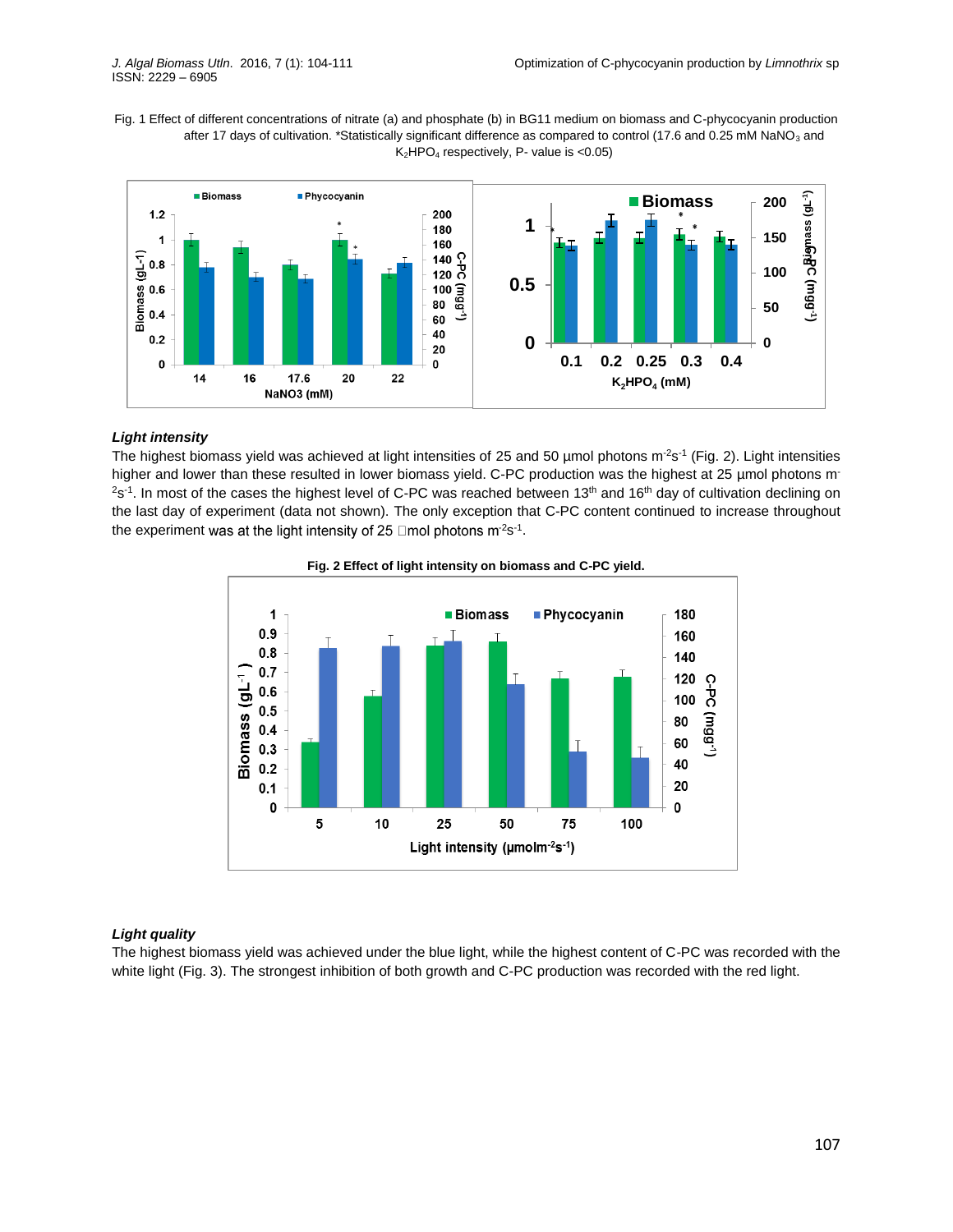Fig. 1 Effect of different concentrations of nitrate (a) and phosphate (b) in BG11 medium on biomass and C-phycocyanin production after 17 days of cultivation. \*Statistically significant difference as compared to control (17.6 and 0.25 mM NaNO<sub>3</sub> and  $K<sub>2</sub>HPO<sub>4</sub>$  respectively, P- value is <0.05)



# *Light intensity*

The highest biomass yield was achieved at light intensities of 25 and 50 µmol photons m<sup>-2</sup>s<sup>-1</sup> (Fig. 2). Light intensities higher and lower than these resulted in lower biomass yield. C-PC production was the highest at 25 µmol photons m<sup>-</sup>  $2$ s<sup>-1</sup>. In most of the cases the highest level of C-PC was reached between 13<sup>th</sup> and 16<sup>th</sup> day of cultivation declining on the last day of experiment (data not shown). The only exception that C-PC content continued to increase throughout the experiment was at the light intensity of 25  $\Box$ mol photons m<sup>-2</sup>s<sup>-1</sup>.



**Fig. 2 Effect of light intensity on biomass and C-PC yield.**

# *Light quality*

The highest biomass yield was achieved under the blue light, while the highest content of C-PC was recorded with the white light (Fig. 3). The strongest inhibition of both growth and C-PC production was recorded with the red light.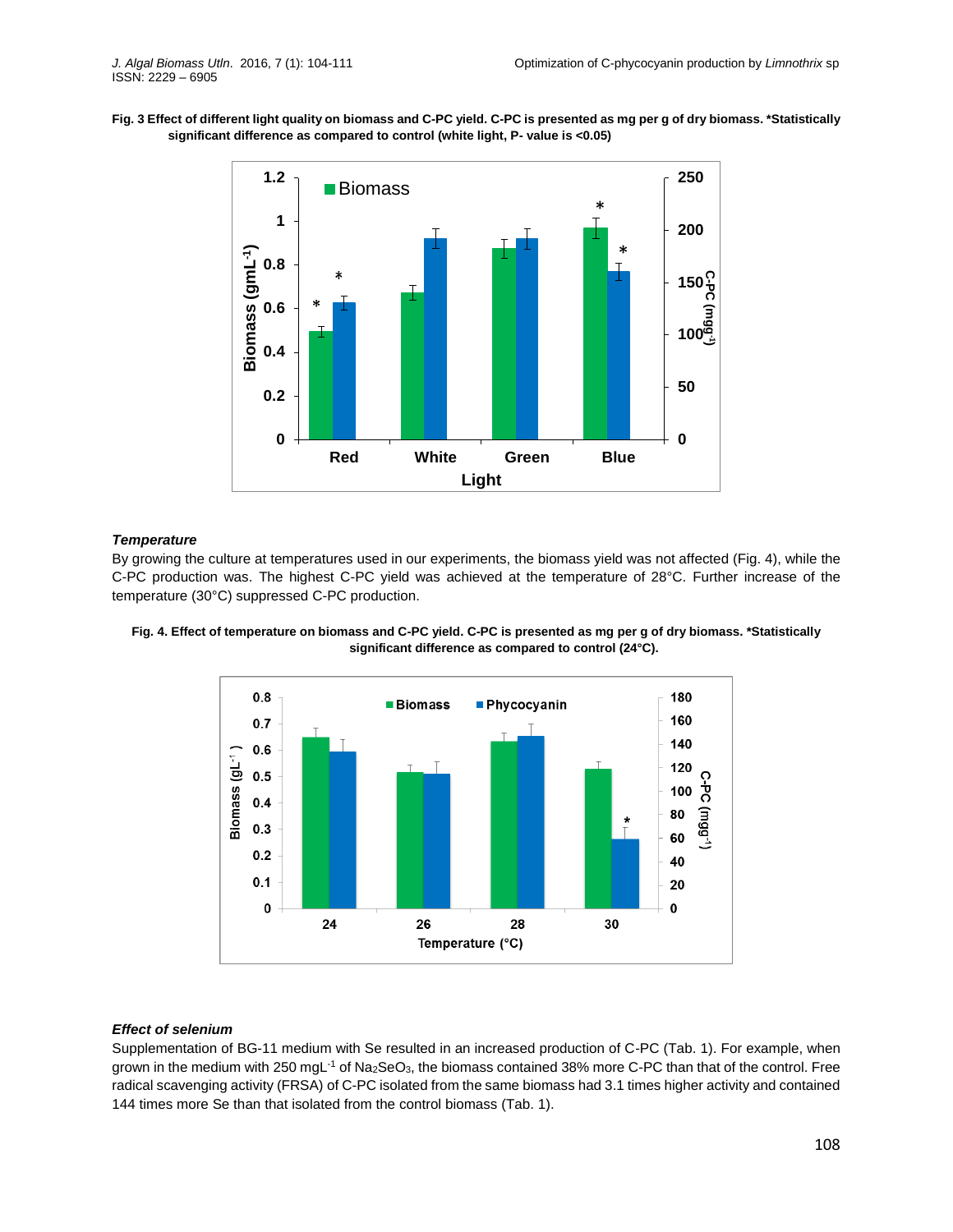**Fig. 3 Effect of different light quality on biomass and C-PC yield. C-PC is presented as mg per g of dry biomass. \*Statistically significant difference as compared to control (white light, P- value is <0.05)**



#### *Temperature*

By growing the culture at temperatures used in our experiments, the biomass yield was not affected (Fig. 4), while the C-PC production was. The highest C-PC yield was achieved at the temperature of 28°C. Further increase of the temperature (30°C) suppressed C-PC production.





#### *Effect of selenium*

Supplementation of BG-11 medium with Se resulted in an increased production of C-PC (Tab. 1). For example, when grown in the medium with 250 mgL<sup>-1</sup> of Na<sub>2</sub>SeO<sub>3</sub>, the biomass contained 38% more C-PC than that of the control. Free radical scavenging activity (FRSA) of C-PC isolated from the same biomass had 3.1 times higher activity and contained 144 times more Se than that isolated from the control biomass (Tab. 1).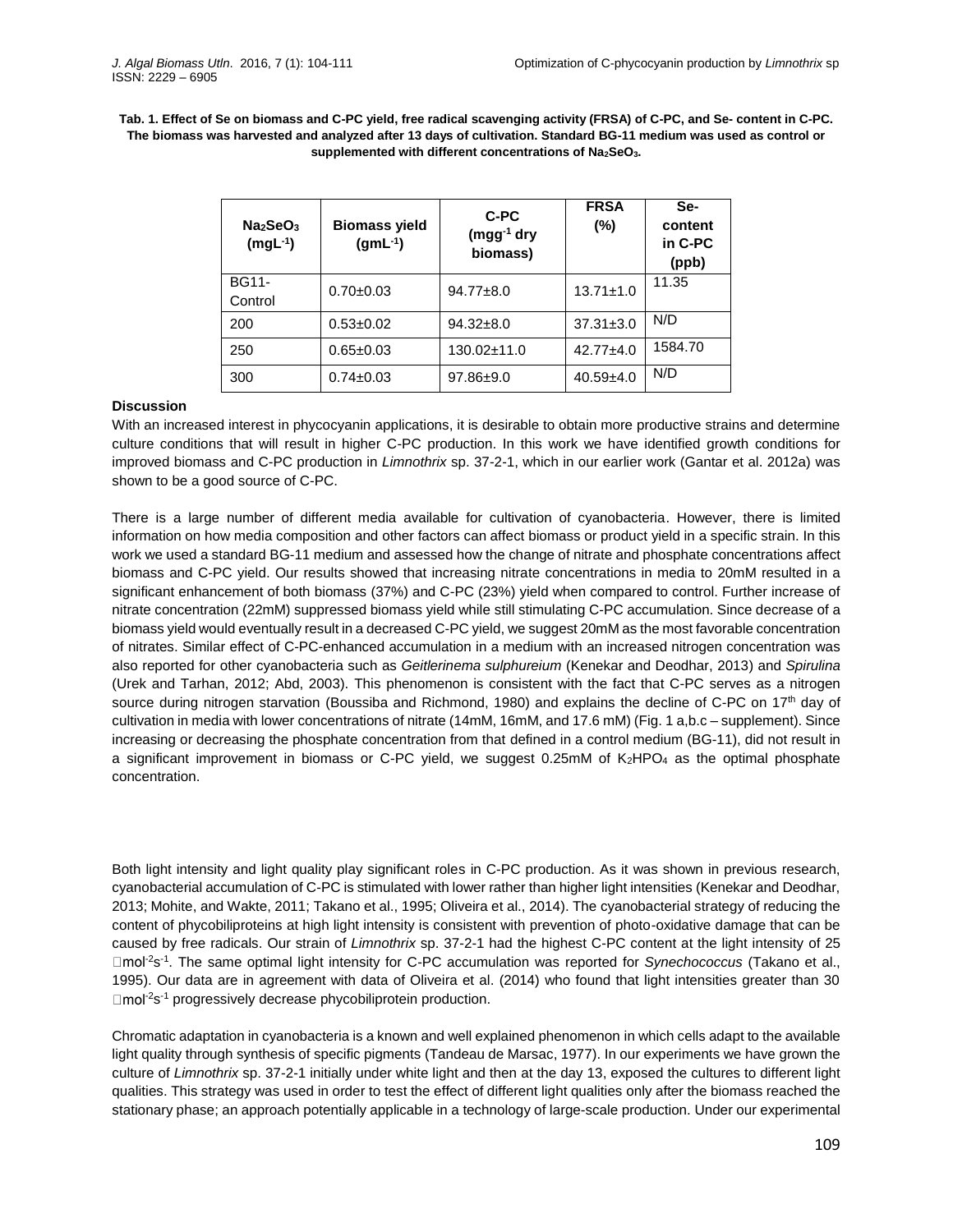**Tab. 1. Effect of Se on biomass and C-PC yield, free radical scavenging activity (FRSA) of C-PC, and Se- content in C-PC. The biomass was harvested and analyzed after 13 days of cultivation. Standard BG-11 medium was used as control or supplemented with different concentrations of Na2SeO3.**

| Na <sub>2</sub> SeO <sub>3</sub><br>$(mgL-1)$ | <b>Biomass yield</b><br>$(gmL^{-1})$ | C-PC<br>$(mgg^{-1}$ dry<br>biomass) | <b>FRSA</b><br>$(\%)$ | Se-<br>content<br>in C-PC<br>(ppb) |
|-----------------------------------------------|--------------------------------------|-------------------------------------|-----------------------|------------------------------------|
| <b>BG11-</b><br>Control                       | $0.70 + 0.03$                        | $94.77 \pm 8.0$                     | $13.71 \pm 1.0$       | 11.35                              |
| 200                                           | $0.53 + 0.02$                        | $94.32 \pm 8.0$                     | $37.31 \pm 3.0$       | N/D                                |
| 250                                           | $0.65 \pm 0.03$                      | $130.02 \pm 11.0$                   | $42.77 + 4.0$         | 1584.70                            |
| 300                                           | $0.74 \pm 0.03$                      | $97.86 \pm 9.0$                     | $40.59 + 4.0$         | N/D                                |

#### **Discussion**

With an increased interest in phycocyanin applications, it is desirable to obtain more productive strains and determine culture conditions that will result in higher C-PC production. In this work we have identified growth conditions for improved biomass and C-PC production in *Limnothrix* sp. 37-2-1, which in our earlier work (Gantar et al. 2012a) was shown to be a good source of C-PC.

There is a large number of different media available for cultivation of cyanobacteria. However, there is limited information on how media composition and other factors can affect biomass or product yield in a specific strain. In this work we used a standard BG-11 medium and assessed how the change of nitrate and phosphate concentrations affect biomass and C-PC yield. Our results showed that increasing nitrate concentrations in media to 20mM resulted in a significant enhancement of both biomass (37%) and C-PC (23%) yield when compared to control. Further increase of nitrate concentration (22mM) suppressed biomass yield while still stimulating C-PC accumulation. Since decrease of a biomass yield would eventually result in a decreased C-PC yield, we suggest 20mM as the most favorable concentration of nitrates. Similar effect of C-PC-enhanced accumulation in a medium with an increased nitrogen concentration was also reported for other cyanobacteria such as *Geitlerinema sulphureium* (Kenekar and Deodhar, 2013) and *Spirulina* (Urek and Tarhan, 2012; Abd, 2003). This phenomenon is consistent with the fact that C-PC serves as a nitrogen source during nitrogen starvation (Boussiba and Richmond, 1980) and explains the decline of C-PC on 17<sup>th</sup> day of cultivation in media with lower concentrations of nitrate (14mM, 16mM, and 17.6 mM) (Fig. 1 a,b.c – supplement). Since increasing or decreasing the phosphate concentration from that defined in a control medium (BG-11), did not result in a significant improvement in biomass or C-PC yield, we suggest  $0.25 \text{m}$ M of  $K_2$ HPO<sub>4</sub> as the optimal phosphate concentration.

Both light intensity and light quality play significant roles in C-PC production. As it was shown in previous research, cyanobacterial accumulation of C-PC is stimulated with lower rather than higher light intensities (Kenekar and Deodhar, 2013; Mohite, and Wakte, 2011; Takano et al., 1995; Oliveira et al., 2014). The cyanobacterial strategy of reducing the content of phycobiliproteins at high light intensity is consistent with prevention of photo-oxidative damage that can be caused by free radicals. Our strain of *Limnothrix* sp. 37-2-1 had the highest C-PC content at the light intensity of 25 <sup>-2</sup>s<sup>-1</sup>. The same optimal light intensity for C-PC accumulation was reported for *Synechococcus* (Takano et al., 1995). Our data are in agreement with data of Oliveira et al. (2014) who found that light intensities greater than 30 <sup>-2</sup>s<sup>-1</sup> progressively decrease phycobiliprotein production.

Chromatic adaptation in cyanobacteria is a known and well explained phenomenon in which cells adapt to the available light quality through synthesis of specific pigments (Tandeau de Marsac, 1977). In our experiments we have grown the culture of *Limnothrix* sp. 37-2-1 initially under white light and then at the day 13, exposed the cultures to different light qualities. This strategy was used in order to test the effect of different light qualities only after the biomass reached the stationary phase; an approach potentially applicable in a technology of large-scale production. Under our experimental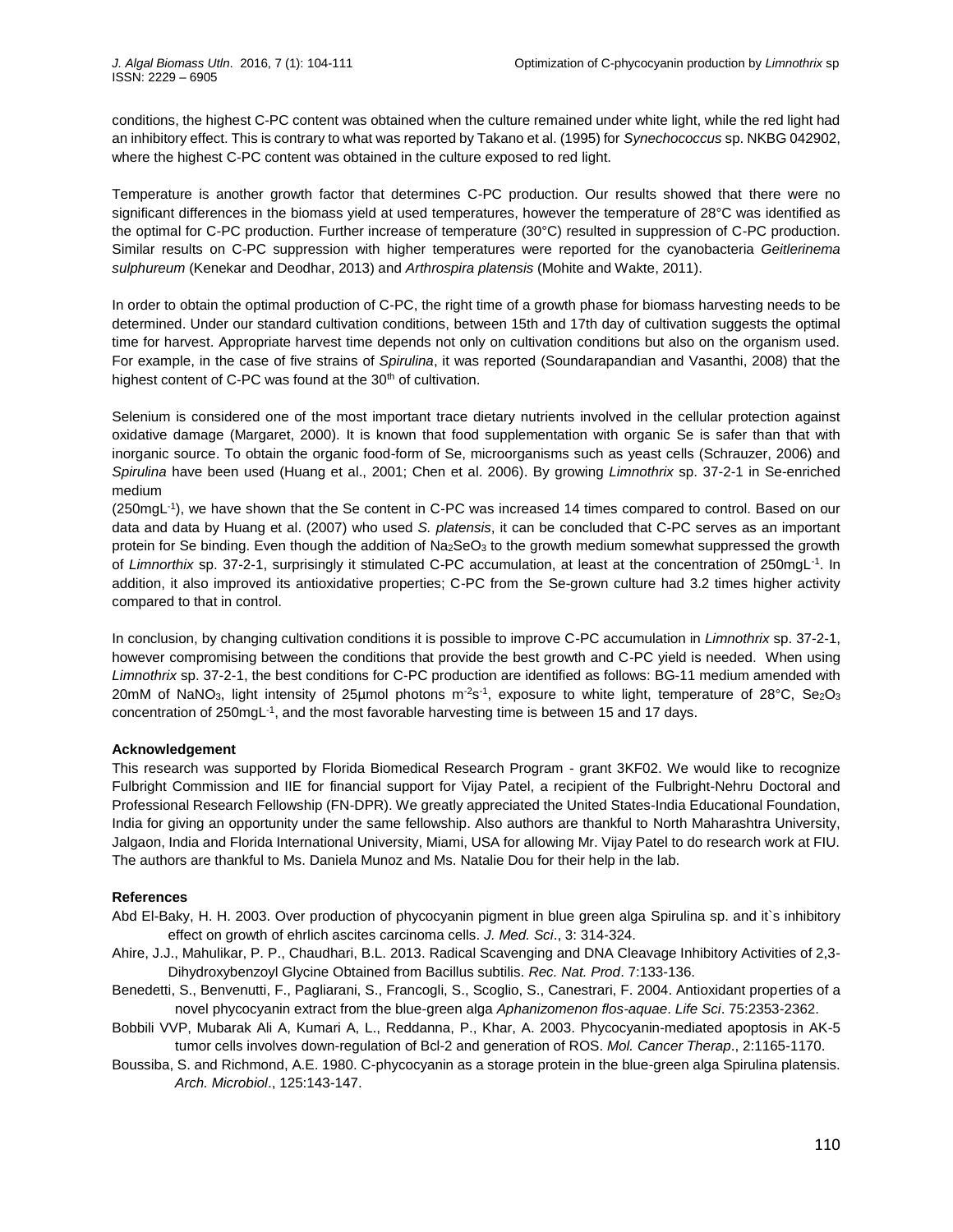conditions, the highest C-PC content was obtained when the culture remained under white light, while the red light had an inhibitory effect. This is contrary to what was reported by Takano et al. (1995) for *Synechococcus* sp. NKBG 042902, where the highest C-PC content was obtained in the culture exposed to red light.

Temperature is another growth factor that determines C-PC production. Our results showed that there were no significant differences in the biomass yield at used temperatures, however the temperature of 28°C was identified as the optimal for C-PC production. Further increase of temperature (30°C) resulted in suppression of C-PC production. Similar results on C-PC suppression with higher temperatures were reported for the cyanobacteria *Geitlerinema sulphureum* (Kenekar and Deodhar, 2013) and *Arthrospira platensis* (Mohite and Wakte, 2011).

In order to obtain the optimal production of C-PC, the right time of a growth phase for biomass harvesting needs to be determined. Under our standard cultivation conditions, between 15th and 17th day of cultivation suggests the optimal time for harvest. Appropriate harvest time depends not only on cultivation conditions but also on the organism used. For example, in the case of five strains of *Spirulina*, it was reported (Soundarapandian and Vasanthi, 2008) that the highest content of C-PC was found at the 30<sup>th</sup> of cultivation.

Selenium is considered one of the most important trace dietary nutrients involved in the cellular protection against oxidative damage (Margaret, 2000). It is known that food supplementation with organic Se is safer than that with inorganic source. To obtain the organic food-form of Se, microorganisms such as yeast cells (Schrauzer, 2006) and *Spirulina* have been used (Huang et al., 2001; Chen et al. 2006). By growing *Limnothrix* sp. 37-2-1 in Se-enriched medium

(250mgL<sup>-1</sup>), we have shown that the Se content in C-PC was increased 14 times compared to control. Based on our data and data by Huang et al. (2007) who used *S. platensis*, it can be concluded that C-PC serves as an important protein for Se binding. Even though the addition of Na<sub>2</sub>SeO<sub>3</sub> to the growth medium somewhat suppressed the growth of Limnorthix sp. 37-2-1, surprisingly it stimulated C-PC accumulation, at least at the concentration of 250mgL<sup>-1</sup>. In addition, it also improved its antioxidative properties; C-PC from the Se-grown culture had 3.2 times higher activity compared to that in control.

In conclusion, by changing cultivation conditions it is possible to improve C-PC accumulation in *Limnothrix* sp. 37-2-1, however compromising between the conditions that provide the best growth and C-PC yield is needed. When using *Limnothrix* sp. 37-2-1, the best conditions for C-PC production are identified as follows: BG-11 medium amended with 20mM of NaNO<sub>3</sub>, light intensity of 25µmol photons m<sup>-2</sup>s<sup>-1</sup>, exposure to white light, temperature of 28°C, Se<sub>2</sub>O<sub>3</sub> concentration of 250mgL<sup>-1</sup>, and the most favorable harvesting time is between 15 and 17 days.

# **Acknowledgement**

This research was supported by Florida Biomedical Research Program - grant 3KF02. We would like to recognize Fulbright Commission and IIE for financial support for Vijay Patel, a recipient of the Fulbright-Nehru Doctoral and Professional Research Fellowship (FN-DPR). We greatly appreciated the United States-India Educational Foundation, India for giving an opportunity under the same fellowship. Also authors are thankful to North Maharashtra University, Jalgaon, India and Florida International University, Miami, USA for allowing Mr. Vijay Patel to do research work at FIU. The authors are thankful to Ms. Daniela Munoz and Ms. Natalie Dou for their help in the lab.

# **References**

- Abd El-Baky, H. H. 2003. Over production of phycocyanin pigment in blue green alga Spirulina sp. and it`s inhibitory effect on growth of ehrlich ascites carcinoma cells. *J. Med. Sci*., 3: 314-324.
- Ahire, J.J., Mahulikar, P. P., Chaudhari, B.L. 2013. Radical Scavenging and DNA Cleavage Inhibitory Activities of 2,3- Dihydroxybenzoyl Glycine Obtained from Bacillus subtilis. *Rec. Nat. Prod*. 7:133-136.
- Benedetti, S., Benvenutti, F., Pagliarani, S., Francogli, S., Scoglio, S., Canestrari, F. 2004. Antioxidant properties of a novel phycocyanin extract from the blue-green alga *Aphanizomenon flos-aquae*. *Life Sci*. 75:2353-2362.
- Bobbili VVP, Mubarak Ali A, Kumari A, L., Reddanna, P., Khar, A. 2003. Phycocyanin-mediated apoptosis in AK-5 tumor cells involves down-regulation of Bcl-2 and generation of ROS. *Mol. Cancer Therap*., 2:1165-1170.
- Boussiba, S. and Richmond, A.E. 1980. C-phycocyanin as a storage protein in the blue-green alga Spirulina platensis. *Arch. Microbiol*., 125:143-147.